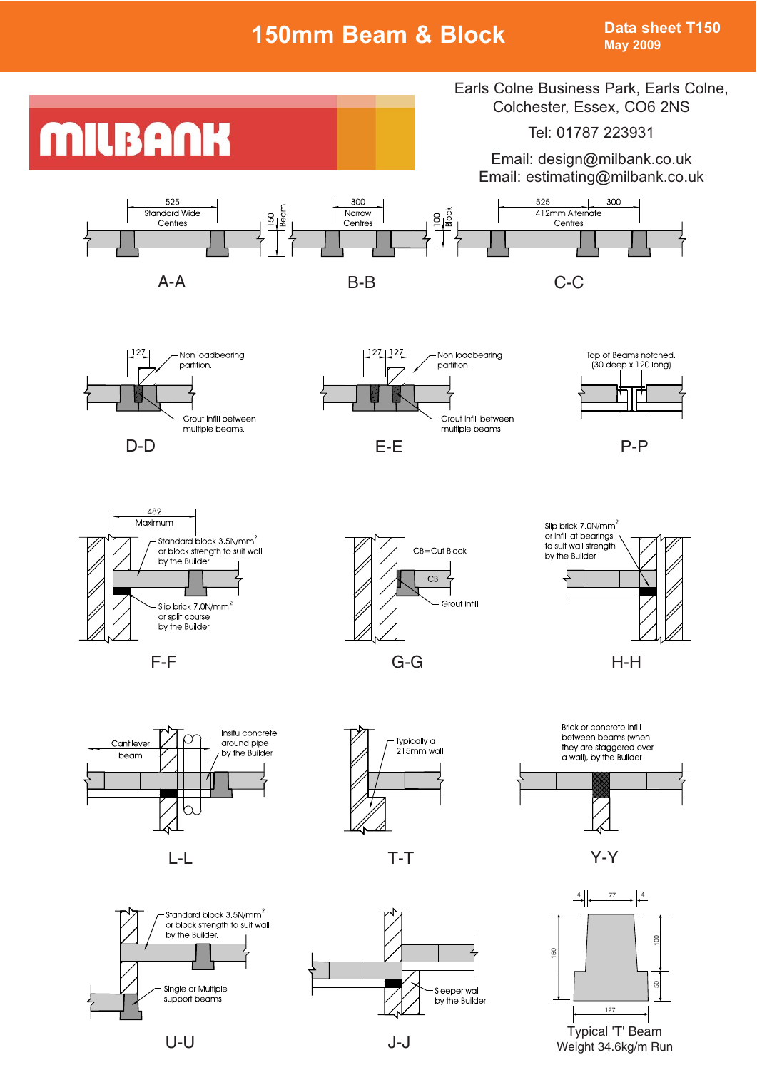# **150mm Beam & Block Data sheet T150**

**May 2009**